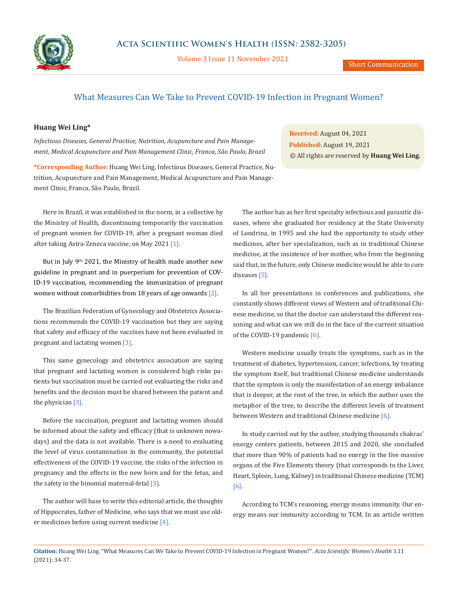

Volume 3 Issue 11 November 2021

## What Measures Can We Take to Prevent COVID-19 Infection in Pregnant Women?

## **Huang Wei Ling\***

*Infectious Diseases, General Practice, Nutrition, Acupuncture and Pain Management, Medical Acupuncture and Pain Management Clinic, Franca, São Paulo, Brazil*

**\*Corresponding Author:** Huang Wei Ling, Infectious Diseases, General Practice, Nutrition, Acupuncture and Pain Management, Medical Acupuncture and Pain Management Clinic, Franca, São Paulo, Brazil.

**Received:** August 04, 2021 **Published:** August 19, 2021 © All rights are reserved by **Huang Wei Ling***.*

Here in Brazil, it was established in the norm, in a collective by the Ministry of Health, discontinuing temporarily the vaccination of pregnant women for COVID-19, after a pregnant woman died after taking Astra-Zeneca vaccine, on May 2021 [1].

But in July 9<sup>th</sup> 2021, the Ministry of health made another new guideline in pregnant and in puerperium for prevention of COV-ID-19 vaccination, recommending the immunization of pregnant women without comorbidities from 18 years of age onwards [2].

The Brazilian Federation of Gynecology and Obstetrics Associations recommends the COVID-19 vaccination but they are saying that safety and efficacy of the vaccines have not been evaluated in pregnant and lactating women [3].

This same gynecology and obstetrics association are saying that pregnant and lactating women is considered high risks patients but vaccination must be carried out evaluating the risks and benefits and the decision must be shared between the patient and the physician [3].

Before the vaccination, pregnant and lactating women should be informed about the safety and efficacy (that is unknown nowadays) and the data is not available. There is a need to evaluating the level of virus contamination in the community, the potential effectiveness of the COVID-19 vaccine, the risks of the infection in pregnancy and the effects in the new born and for the fetus, and the safety in the binomial maternal-fetal [3].

The author will base to write this editorial article, the thoughts of Hippocrates, father of Medicine, who says that we must use older medicines before using current medicine [4].

The author has as her first specialty infectious and parasitic diseases, where she graduated her residency at the State University of Londrina, in 1995 and she had the opportunity to study other medicines, after her specialization, such as in traditional Chinese medicine, at the insistence of her mother, who from the beginning said that, in the future, only Chinese medicine would be able to cure diseases [5].

In all her presentations in conferences and publications, she constantly shows different views of Western and of traditional Chinese medicine, so that the doctor can understand the different reasoning and what can we still do in the face of the current situation of the COVID-19 pandemic [6].

Western medicine usually treats the symptoms, such as in the treatment of diabetes, hypertension, cancer, infections, by treating the symptom itself, but traditional Chinese medicine understands that the symptom is only the manifestation of an energy imbalance that is deeper, at the root of the tree, in which the author uses the metaphor of the tree, to describe the different levels of treatment between Western and traditional Chinese medicine [6].

In study carried out by the author, studying thousands chakras' energy centers patients, between 2015 and 2020, she concluded that more than 90% of patients had no energy in the five massive organs of the Five Elements theory (that corresponds to the Liver, Heart, Spleen, Lung, Kidney) in traditional Chinese medicine (TCM) [6].

According to TCM's reasoning, energy means immunity. Our energy means our immunity according to TCM. In an article written

**Citation:** Huang Wei Ling*.* "What Measures Can We Take to Prevent COVID-19 Infection in Pregnant Women?". *Acta Scientific Women's Health* 3.11 (2021): 34-37.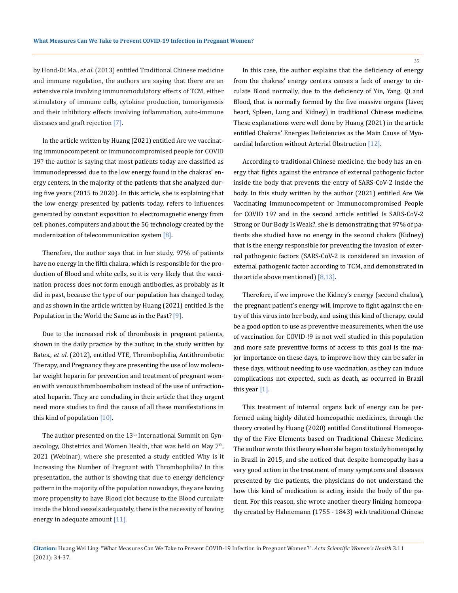by Hond-Di Ma., *et al*. (2013) entitled Traditional Chinese medicine and immune regulation, the authors are saying that there are an extensive role involving immunomodulatory effects of TCM, either stimulatory of immune cells, cytokine production, tumorigenesis and their inhibitory effects involving inflammation, auto-immune diseases and graft rejection [7].

In the article written by Huang (2021) entitled Are we vaccinating immunocompetent or immunocompromised people for COVID 19? the author is saying that most patients today are classified as immunodepressed due to the low energy found in the chakras' energy centers, in the majority of the patients that she analyzed during five years (2015 to 2020). In this article, she is explaining that the low energy presented by patients today, refers to influences generated by constant exposition to electromagnetic energy from cell phones, computers and about the 5G technology created by the modernization of telecommunication system [8].

Therefore, the author says that in her study, 97% of patients have no energy in the fifth chakra, which is responsible for the production of Blood and white cells, so it is very likely that the vaccination process does not form enough antibodies, as probably as it did in past, because the type of our population has changed today, and as shown in the article written by Huang (2021) entitled Is the Population in the World the Same as in the Past? [9].

Due to the increased risk of thrombosis in pregnant patients, shown in the daily practice by the author, in the study written by Bates., *et al*. (2012), entitled VTE, Thrombophilia, Antithrombotic Therapy, and Pregnancy they are presenting the use of low molecular weight heparin for prevention and treatment of pregnant women with venous thromboembolism instead of the use of unfractionated heparin. They are concluding in their article that they urgent need more studies to find the cause of all these manifestations in this kind of population [10].

The author presented on the  $13<sup>th</sup>$  International Summit on Gynaecology, Obstetrics and Women Health, that was held on May 7<sup>th</sup>, 2021 (Webinar), where she presented a study entitled Why is it Increasing the Number of Pregnant with Thrombophilia? In this presentation, the author is showing that due to energy deficiency pattern in the majority of the population nowadays, they are having more propensity to have Blood clot because to the Blood curculate inside the blood vessels adequately, there is the necessity of having energy in adequate amount [11].

In this case, the author explains that the deficiency of energy from the chakras' energy centers causes a lack of energy to circulate Blood normally, due to the deficiency of Yin, Yang, Qi and Blood, that is normally formed by the five massive organs (Liver, heart, Spleen, Lung and Kidney) in traditional Chinese medicine. These explanations were well done by Huang (2021) in the article entitled Chakras' Energies Deficiencies as the Main Cause of Myocardial Infarction without Arterial Obstruction [12].

According to traditional Chinese medicine, the body has an energy that fights against the entrance of external pathogenic factor inside the body that prevents the entry of SARS-CoV-2 inside the body. In this study written by the author (2021) entitled Are We Vaccinating Immunocompetent or Immunocompromised People for COVID 19? and in the second article entitled Is SARS-CoV-2 Strong or Our Body Is Weak?, she is demonstrating that 97% of patients she studied have no energy in the second chakra (Kidney) that is the energy responsible for preventing the invasion of external pathogenic factors (SARS-CoV-2 is considered an invasion of external pathogenic factor according to TCM, and demonstrated in the article above mentioned) [8,13].

Therefore, if we improve the Kidney's energy (second chakra), the pregnant patient's energy will improve to fight against the entry of this virus into her body, and using this kind of therapy, could be a good option to use as preventive measurements, when the use of vaccination for COVID-!9 is not well studied in this population and more safe preventive forms of access to this goal is the major importance on these days, to improve how they can be safer in these days, without needing to use vaccination, as they can induce complications not expected, such as death, as occurred in Brazil this year [1].

This treatment of internal organs lack of energy can be performed using highly diluted homeopathic medicines, through the theory created by Huang (2020) entitled Constitutional Homeopathy of the Five Elements based on Traditional Chinese Medicine. The author wrote this theory when she began to study homeopathy in Brazil in 2015, and she noticed that despite homeopathy has a very good action in the treatment of many symptoms and diseases presented by the patients, the physicians do not understand the how this kind of medication is acting inside the body of the patient. For this reason, she wrote another theory linking homeopathy created by Hahnemann (1755 - 1843) with traditional Chinese

35

**Citation:** Huang Wei Ling*.* "What Measures Can We Take to Prevent COVID-19 Infection in Pregnant Women?". *Acta Scientific Women's Health* 3.11 (2021): 34-37.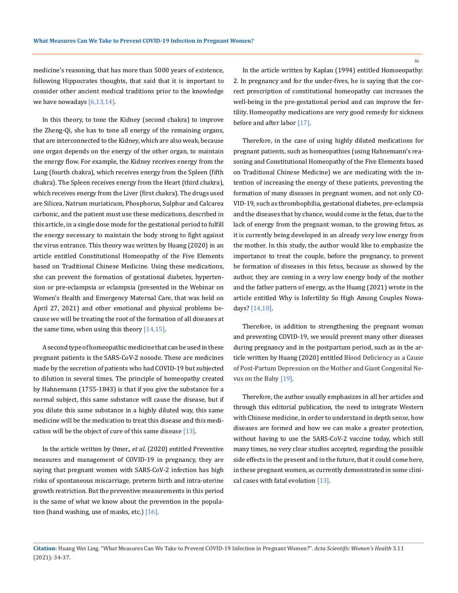medicine's reasoning, that has more than 5000 years of existence, following Hippocrates thoughts, that said that it is important to consider other ancient medical traditions prior to the knowledge we have nowadays  $[6,13,14]$ .

In this theory, to tone the Kidney (second chakra) to improve the Zheng-Qi, she has to tone all energy of the remaining organs, that are interconnected to the Kidney, which are also weak, because one organ depends on the energy of the other organ, to maintain the energy flow. For example, the Kidney receives energy from the Lung (fourth chakra), which receives energy from the Spleen (fifth chakra). The Spleen receives energy from the Heart (third chakra), which receives energy from the Liver (first chakra). The drugs used are Silicea, Natrum muriaticum, Phosphorus, Sulphur and Calcarea carbonic, and the patient must use these medications, described in this article, in a single dose mode for the gestational period to fulfill the energy necessary to maintain the body strong to fight against the virus entrance. This theory was written by Huang (2020) in an article entitled Constitutional Homeopathy of the Five Elements based on Traditional Chinese Medicine. Using these medications, she can prevent the formation of gestational diabetes, hypertension or pre-eclampsia or eclampsia (presented in the Webinar on Women's Health and Emergency Maternal Care, that was held on April 27, 2021) and other emotional and physical problems because we will be treating the root of the formation of all diseases at the same time, when using this theory  $[14, 15]$ .

A second type of homeopathic medicine that can be used in these pregnant patients is the SARS-CoV-2 nosode. These are medicines made by the secretion of patients who had COVID-19 but subjected to dilution in several times. The principle of homeopathy created by Hahnemann (1755-1843) is that if you give the substance for a normal subject, this same substance will cause the disease, but if you dilute this same substance in a highly diluted way, this same medicine will be the medication to treat this disease and this medication will be the object of cure of this same disease  $[13]$ .

In the article written by Omer., *et al*. (2020) entitled Preventive measures and management of COVID-19 in pregnancy, they are saying that pregnant women with SARS-CoV-2 infection has high risks of spontaneous miscarriage, preterm birth and intra-uterine growth restriction. But the preventive measurements in this period is the same of what we know about the prevention in the population (hand washing, use of masks, etc.)  $[16]$ .

In the article written by Kaplan (1994) entitled Homoeopathy: 2. In pregnancy and for the under-fives, he is saying that the correct prescription of constitutional homeopathy can increases the well-being in the pre-gestational period and can improve the fertility. Homeopathy medications are very good remedy for sickness before and after labor [17].

Therefore, in the case of using highly diluted medications for pregnant patients, such as homeopathies (using Hahnemann's reasoning and Constitutional Homeopathy of the Five Elements based on Traditional Chinese Medicine) we are medicating with the intention of increasing the energy of these patients, preventing the formation of many diseases in pregnant women, and not only CO-VID-19, such as thrombophilia, gestational diabetes, pre-eclampsia and the diseases that by chance, would come in the fetus, due to the lack of energy from the pregnant woman, to the growing fetus, as it is currently being developed in an already very low energy from the mother. In this study, the author would like to emphasize the importance to treat the couple, before the pregnancy, to prevent he formation of diseases in this fetus, because as showed by the author, they are coming in a very low energy body of the mother and the father pattern of energy, as the Huang (2021) wrote in the article entitled Why is Infertility So High Among Couples Nowadays? [14,18].

Therefore, in addition to strengthening the pregnant woman and preventing COVID-19, we would prevent many other diseases during pregnancy and in the postpartum period, such as in the article written by Huang (2020) entitled Blood Deficiency as a Cause of Post-Partum Depression on the Mother and Giant Congenital Nevus on the Baby [19].

Therefore, the author usually emphasizes in all her articles and through this editorial publication, the need to integrate Western with Chinese medicine, in order to understand in depth sense, how diseases are formed and how we can make a greater protection, without having to use the SARS-CoV-2 vaccine today, which still many times, no very clear studies accepted, regarding the possible side effects in the present and in the future, that it could come here, in these pregnant women, as currently demonstrated in some clinical cases with fatal evolution [13].

36

**Citation:** Huang Wei Ling*.* "What Measures Can We Take to Prevent COVID-19 Infection in Pregnant Women?". *Acta Scientific Women's Health* 3.11 (2021): 34-37.